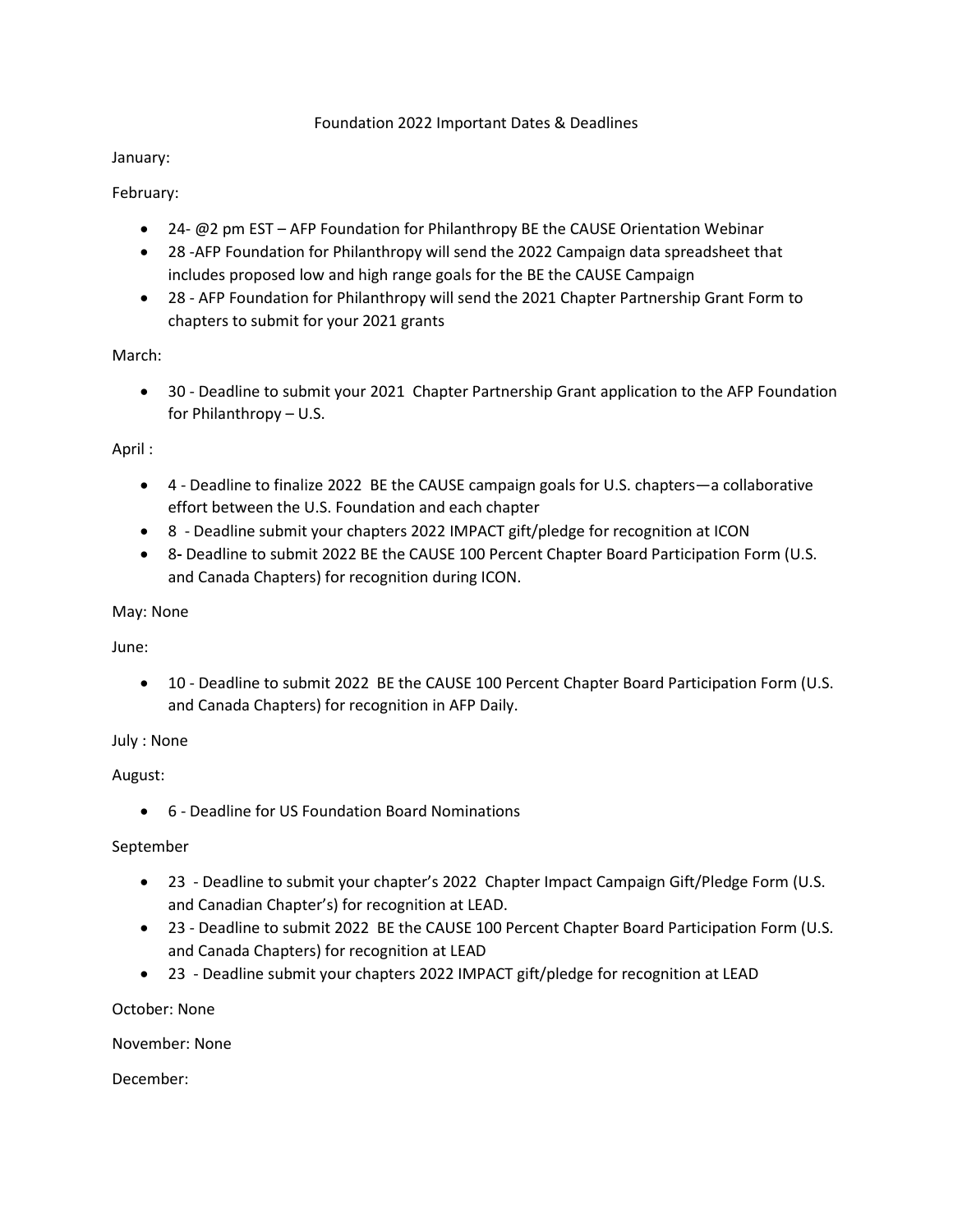### Foundation 2022 Important Dates & Deadlines

### January:

# February:

- 24- @2 pm EST AFP Foundation for Philanthropy BE the CAUSE Orientation Webinar
- 28 -AFP Foundation for Philanthropy will send the 2022 Campaign data spreadsheet that includes proposed low and high range goals for the BE the CAUSE Campaign
- 28 AFP Foundation for Philanthropy will send the 2021 Chapter Partnership Grant Form to chapters to submit for your 2021 grants

March:

• 30 - Deadline to submit your 2021 Chapter Partnership Grant application to the AFP Foundation for Philanthropy – U.S.

# April :

- 4 Deadline to finalize 2022 BE the CAUSE campaign goals for U.S. chapters—a collaborative effort between the U.S. Foundation and each chapter
- 8 Deadline submit your chapters 2022 IMPACT gift/pledge for recognition at ICON
- 8**-** Deadline to submit 2022 BE the CAUSE 100 Percent Chapter Board Participation Form (U.S. and Canada Chapters) for recognition during ICON.

# May: None

June:

• 10 - Deadline to submit 2022 BE the CAUSE 100 Percent Chapter Board Participation Form (U.S. and Canada Chapters) for recognition in AFP Daily.

July : None

August:

• 6 - Deadline for US Foundation Board Nominations

# September

- 23 Deadline to submit your chapter's 2022 Chapter Impact Campaign Gift/Pledge Form (U.S. and Canadian Chapter's) for recognition at LEAD.
- 23 Deadline to submit 2022 BE the CAUSE 100 Percent Chapter Board Participation Form (U.S. and Canada Chapters) for recognition at LEAD
- 23 Deadline submit your chapters 2022 IMPACT gift/pledge for recognition at LEAD

October: None

November: None

December: